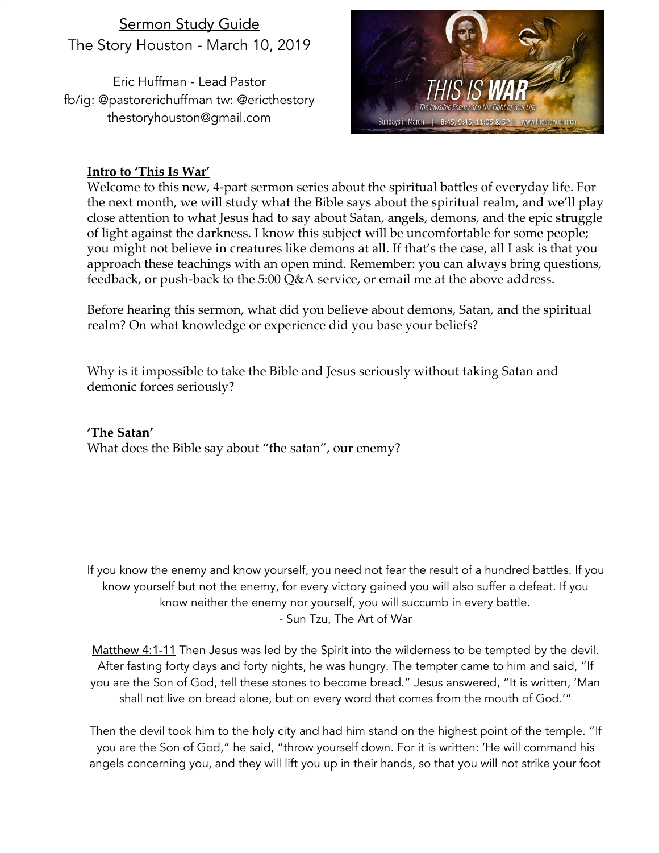## Sermon Study Guide The Story Houston - March 10, 2019

Eric Huffman - Lead Pastor fb/ig: @pastorerichuffman tw: @ericthestory thestoryhouston@gmail.com



## **Intro to 'This Is War'**

Welcome to this new, 4-part sermon series about the spiritual battles of everyday life. For the next month, we will study what the Bible says about the spiritual realm, and we'll play close attention to what Jesus had to say about Satan, angels, demons, and the epic struggle of light against the darkness. I know this subject will be uncomfortable for some people; you might not believe in creatures like demons at all. If that's the case, all I ask is that you approach these teachings with an open mind. Remember: you can always bring questions, feedback, or push-back to the 5:00 Q&A service, or email me at the above address.

Before hearing this sermon, what did you believe about demons, Satan, and the spiritual realm? On what knowledge or experience did you base your beliefs?

Why is it impossible to take the Bible and Jesus seriously without taking Satan and demonic forces seriously?

## **'The Satan'**

What does the Bible say about "the satan", our enemy?

If you know the enemy and know yourself, you need not fear the result of a hundred battles. If you know yourself but not the enemy, for every victory gained you will also suffer a defeat. If you know neither the enemy nor yourself, you will succumb in every battle. - Sun Tzu, The Art of War

Matthew 4:1-11 Then Jesus was led by the Spirit into the wilderness to be tempted by the devil. After fasting forty days and forty nights, he was hungry. The tempter came to him and said, "If you are the Son of God, tell these stones to become bread." Jesus answered, "It is written, 'Man shall not live on bread alone, but on every word that comes from the mouth of God.'"

Then the devil took him to the holy city and had him stand on the highest point of the temple. "If you are the Son of God," he said, "throw yourself down. For it is written: 'He will command his angels concerning you, and they will lift you up in their hands, so that you will not strike your foot